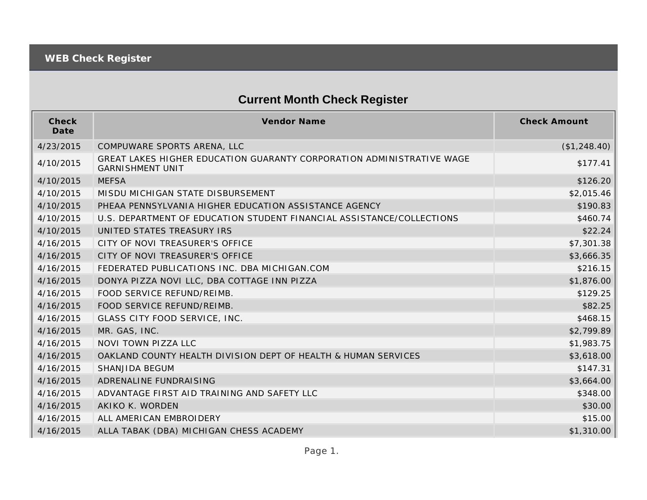## **Current Month Check Register**

| Check<br>Date | <b>Vendor Name</b>                                                                               | <b>Check Amount</b> |
|---------------|--------------------------------------------------------------------------------------------------|---------------------|
| 4/23/2015     | COMPUWARE SPORTS ARENA, LLC                                                                      | (\$1,248.40)        |
| 4/10/2015     | GREAT LAKES HIGHER EDUCATION GUARANTY CORPORATION ADMINISTRATIVE WAGE<br><b>GARNISHMENT UNIT</b> | \$177.41            |
| 4/10/2015     | <b>MEFSA</b>                                                                                     | \$126.20            |
| 4/10/2015     | MISDU MICHIGAN STATE DISBURSEMENT                                                                | \$2,015.46          |
| 4/10/2015     | PHEAA PENNSYLVANIA HIGHER EDUCATION ASSISTANCE AGENCY                                            | \$190.83            |
| 4/10/2015     | U.S. DEPARTMENT OF EDUCATION STUDENT FINANCIAL ASSISTANCE/COLLECTIONS                            | \$460.74            |
| 4/10/2015     | UNITED STATES TREASURY IRS                                                                       | \$22.24             |
| 4/16/2015     | CITY OF NOVI TREASURER'S OFFICE                                                                  | \$7,301.38          |
| 4/16/2015     | CITY OF NOVI TREASURER'S OFFICE                                                                  | \$3,666.35          |
| 4/16/2015     | FEDERATED PUBLICATIONS INC. DBA MICHIGAN.COM                                                     | \$216.15            |
| 4/16/2015     | DONYA PIZZA NOVI LLC, DBA COTTAGE INN PIZZA                                                      | \$1,876.00          |
| 4/16/2015     | FOOD SERVICE REFUND/REIMB.                                                                       | \$129.25            |
| 4/16/2015     | FOOD SERVICE REFUND/REIMB.                                                                       | \$82.25             |
| 4/16/2015     | GLASS CITY FOOD SERVICE, INC.                                                                    | \$468.15            |
| 4/16/2015     | MR. GAS, INC.                                                                                    | \$2,799.89          |
| 4/16/2015     | NOVI TOWN PIZZA LLC                                                                              | \$1,983.75          |
| 4/16/2015     | OAKLAND COUNTY HEALTH DIVISION DEPT OF HEALTH & HUMAN SERVICES                                   | \$3,618.00          |
| 4/16/2015     | SHANJIDA BEGUM                                                                                   | \$147.31            |
| 4/16/2015     | ADRENALINE FUNDRAISING                                                                           | \$3,664.00          |
| 4/16/2015     | ADVANTAGE FIRST AID TRAINING AND SAFETY LLC                                                      | \$348.00            |
| 4/16/2015     | AKIKO K. WORDEN                                                                                  | \$30.00             |
| 4/16/2015     | ALL AMERICAN EMBROIDERY                                                                          | \$15.00             |
| 4/16/2015     | ALLA TABAK (DBA) MICHIGAN CHESS ACADEMY                                                          | \$1,310.00          |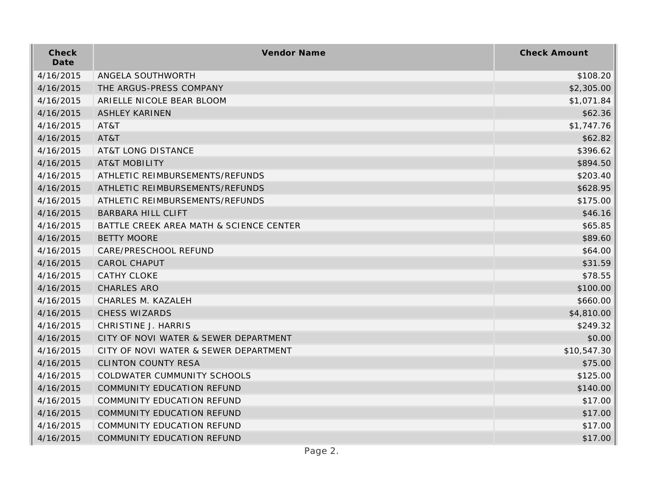| Check<br>Date | Vendor Name                             | <b>Check Amount</b> |
|---------------|-----------------------------------------|---------------------|
| 4/16/2015     | ANGELA SOUTHWORTH                       | \$108.20            |
| 4/16/2015     | THE ARGUS-PRESS COMPANY                 | \$2,305.00          |
| 4/16/2015     | ARIELLE NICOLE BEAR BLOOM               | \$1,071.84          |
| 4/16/2015     | <b>ASHLEY KARINEN</b>                   | \$62.36             |
| 4/16/2015     | AT&T                                    | \$1,747.76          |
| 4/16/2015     | AT&T                                    | \$62.82             |
| 4/16/2015     | <b>AT&amp;T LONG DISTANCE</b>           | \$396.62            |
| 4/16/2015     | <b>AT&amp;T MOBILITY</b>                | \$894.50            |
| 4/16/2015     | ATHLETIC REIMBURSEMENTS/REFUNDS         | \$203.40            |
| 4/16/2015     | ATHLETIC REIMBURSEMENTS/REFUNDS         | \$628.95            |
| 4/16/2015     | ATHLETIC REIMBURSEMENTS/REFUNDS         | \$175.00            |
| 4/16/2015     | <b>BARBARA HILL CLIFT</b>               | \$46.16             |
| 4/16/2015     | BATTLE CREEK AREA MATH & SCIENCE CENTER | \$65.85             |
| 4/16/2015     | <b>BETTY MOORE</b>                      | \$89.60             |
| 4/16/2015     | CARE/PRESCHOOL REFUND                   | \$64.00             |
| 4/16/2015     | <b>CAROL CHAPUT</b>                     | \$31.59             |
| 4/16/2015     | <b>CATHY CLOKE</b>                      | \$78.55             |
| 4/16/2015     | CHARLES ARO                             | \$100.00            |
| 4/16/2015     | CHARLES M. KAZALEH                      | \$660.00            |
| 4/16/2015     | CHESS WIZARDS                           | \$4,810.00          |
| 4/16/2015     | CHRISTINE J. HARRIS                     | \$249.32            |
| 4/16/2015     | CITY OF NOVI WATER & SEWER DEPARTMENT   | \$0.00              |
| 4/16/2015     | CITY OF NOVI WATER & SEWER DEPARTMENT   | \$10,547.30         |
| 4/16/2015     | <b>CLINTON COUNTY RESA</b>              | \$75.00             |
| 4/16/2015     | COLDWATER CUMMUNITY SCHOOLS             | \$125.00            |
| 4/16/2015     | COMMUNITY EDUCATION REFUND              | \$140.00            |
| 4/16/2015     | COMMUNITY EDUCATION REFUND              | \$17.00             |
| 4/16/2015     | COMMUNITY EDUCATION REFUND              | \$17.00             |
| 4/16/2015     | COMMUNITY EDUCATION REFUND              | \$17.00             |
| 4/16/2015     | COMMUNITY EDUCATION REFUND              | \$17.00             |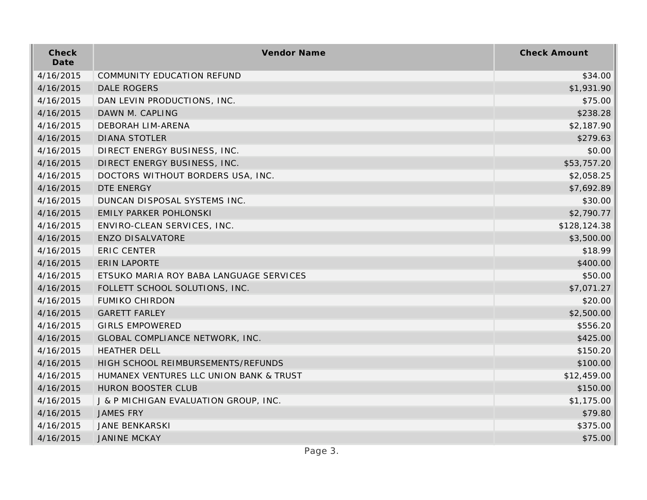| Check<br>Date | Vendor Name                             | <b>Check Amount</b> |
|---------------|-----------------------------------------|---------------------|
| 4/16/2015     | <b>COMMUNITY EDUCATION REFUND</b>       | \$34.00             |
| 4/16/2015     | <b>DALE ROGERS</b>                      | \$1,931.90          |
| 4/16/2015     | DAN LEVIN PRODUCTIONS, INC.             | \$75.00             |
| 4/16/2015     | DAWN M. CAPLING                         | \$238.28            |
| 4/16/2015     | <b>DEBORAH LIM-ARENA</b>                | \$2,187.90          |
| 4/16/2015     | <b>DIANA STOTLER</b>                    | \$279.63            |
| 4/16/2015     | DIRECT ENERGY BUSINESS, INC.            | \$0.00              |
| 4/16/2015     | DIRECT ENERGY BUSINESS, INC.            | \$53,757.20         |
| 4/16/2015     | DOCTORS WITHOUT BORDERS USA, INC.       | \$2,058.25          |
| 4/16/2015     | DTE ENERGY                              | \$7,692.89          |
| 4/16/2015     | DUNCAN DISPOSAL SYSTEMS INC.            | \$30.00             |
| 4/16/2015     | EMILY PARKER POHLONSKI                  | \$2,790.77          |
| 4/16/2015     | ENVIRO-CLEAN SERVICES, INC.             | \$128,124.38        |
| 4/16/2015     | <b>ENZO DISALVATORE</b>                 | \$3,500.00          |
| 4/16/2015     | <b>ERIC CENTER</b>                      | \$18.99             |
| 4/16/2015     | <b>ERIN LAPORTE</b>                     | \$400.00            |
| 4/16/2015     | ETSUKO MARIA ROY BABA LANGUAGE SERVICES | \$50.00             |
| 4/16/2015     | FOLLETT SCHOOL SOLUTIONS, INC.          | \$7,071.27          |
| 4/16/2015     | <b>FUMIKO CHIRDON</b>                   | \$20.00             |
| 4/16/2015     | <b>GARETT FARLEY</b>                    | \$2,500.00          |
| 4/16/2015     | <b>GIRLS EMPOWERED</b>                  | \$556.20            |
| 4/16/2015     | GLOBAL COMPLIANCE NETWORK, INC.         | \$425.00            |
| 4/16/2015     | <b>HEATHER DELL</b>                     | \$150.20            |
| 4/16/2015     | HIGH SCHOOL REIMBURSEMENTS/REFUNDS      | \$100.00            |
| 4/16/2015     | HUMANEX VENTURES LLC UNION BANK & TRUST | \$12,459.00         |
| 4/16/2015     | <b>HURON BOOSTER CLUB</b>               | \$150.00            |
| 4/16/2015     | J & P MICHIGAN EVALUATION GROUP, INC.   | \$1,175.00          |
| 4/16/2015     | <b>JAMES FRY</b>                        | \$79.80             |
| 4/16/2015     | <b>JANE BENKARSKI</b>                   | \$375.00            |
| 4/16/2015     | <b>JANINE MCKAY</b>                     | \$75.00             |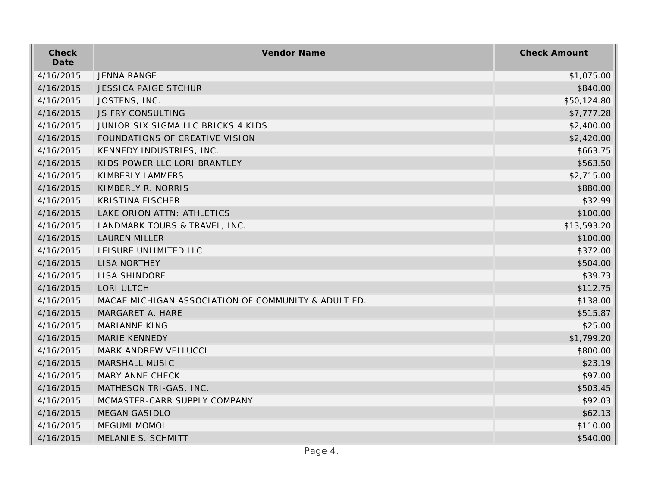| Check<br>Date | Vendor Name                                         | <b>Check Amount</b> |
|---------------|-----------------------------------------------------|---------------------|
| 4/16/2015     | <b>JENNA RANGE</b>                                  | \$1,075.00          |
| 4/16/2015     | <b>JESSICA PAIGE STCHUR</b>                         | \$840.00            |
| 4/16/2015     | JOSTENS, INC.                                       | \$50,124.80         |
| 4/16/2015     | <b>JS FRY CONSULTING</b>                            | \$7,777.28          |
| 4/16/2015     | JUNIOR SIX SIGMA LLC BRICKS 4 KIDS                  | \$2,400.00          |
| 4/16/2015     | FOUNDATIONS OF CREATIVE VISION                      | \$2,420.00          |
| 4/16/2015     | KENNEDY INDUSTRIES, INC.                            | \$663.75            |
| 4/16/2015     | KIDS POWER LLC LORI BRANTLEY                        | \$563.50            |
| 4/16/2015     | KIMBERLY LAMMERS                                    | \$2,715.00          |
| 4/16/2015     | KIMBERLY R. NORRIS                                  | \$880.00            |
| 4/16/2015     | <b>KRISTINA FISCHER</b>                             | \$32.99             |
| 4/16/2015     | LAKE ORION ATTN: ATHLETICS                          | \$100.00            |
| 4/16/2015     | LANDMARK TOURS & TRAVEL, INC.                       | \$13,593.20         |
| 4/16/2015     | <b>LAUREN MILLER</b>                                | \$100.00            |
| 4/16/2015     | LEISURE UNLIMITED LLC                               | \$372.00            |
| 4/16/2015     | LISA NORTHEY                                        | \$504.00            |
| 4/16/2015     | <b>LISA SHINDORF</b>                                | \$39.73             |
| 4/16/2015     | LORI ULTCH                                          | \$112.75            |
| 4/16/2015     | MACAE MICHIGAN ASSOCIATION OF COMMUNITY & ADULT ED. | \$138.00            |
| 4/16/2015     | MARGARET A. HARE                                    | \$515.87            |
| 4/16/2015     | <b>MARIANNE KING</b>                                | \$25.00             |
| 4/16/2015     | <b>MARIE KENNEDY</b>                                | \$1,799.20          |
| 4/16/2015     | MARK ANDREW VELLUCCI                                | \$800.00            |
| 4/16/2015     | MARSHALL MUSIC                                      | \$23.19             |
| 4/16/2015     | MARY ANNE CHECK                                     | \$97.00             |
| 4/16/2015     | MATHESON TRI-GAS, INC.                              | \$503.45            |
| 4/16/2015     | MCMASTER-CARR SUPPLY COMPANY                        | \$92.03             |
| 4/16/2015     | <b>MEGAN GASIDLO</b>                                | \$62.13             |
| 4/16/2015     | <b>MEGUMI MOMOI</b>                                 | \$110.00            |
| 4/16/2015     | MELANIE S. SCHMITT                                  | \$540.00            |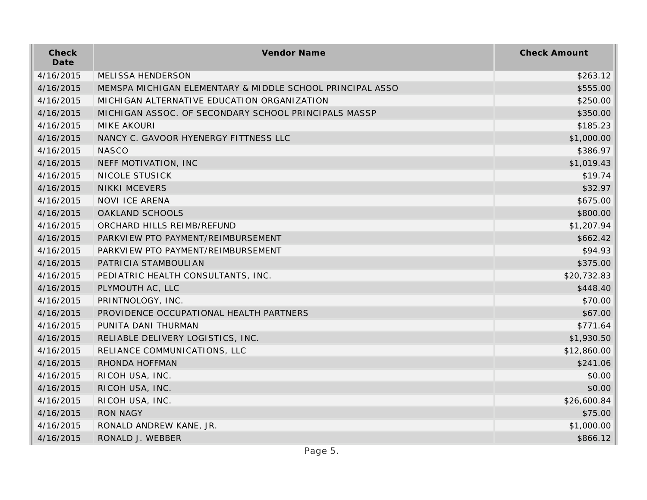| Check<br>Date | Vendor Name                                               | <b>Check Amount</b> |
|---------------|-----------------------------------------------------------|---------------------|
| 4/16/2015     | <b>MELISSA HENDERSON</b>                                  | \$263.12            |
| 4/16/2015     | MEMSPA MICHIGAN ELEMENTARY & MIDDLE SCHOOL PRINCIPAL ASSO | \$555.00            |
| 4/16/2015     | MICHIGAN ALTERNATIVE EDUCATION ORGANIZATION               | \$250.00            |
| 4/16/2015     | MICHIGAN ASSOC. OF SECONDARY SCHOOL PRINCIPALS MASSP      | \$350.00            |
| 4/16/2015     | <b>MIKE AKOURI</b>                                        | \$185.23            |
| 4/16/2015     | NANCY C. GAVOOR HYENERGY FITTNESS LLC                     | \$1,000.00          |
| 4/16/2015     | <b>NASCO</b>                                              | \$386.97            |
| 4/16/2015     | NEFF MOTIVATION, INC                                      | \$1,019.43          |
| 4/16/2015     | NICOLE STUSICK                                            | \$19.74             |
| 4/16/2015     | <b>NIKKI MCEVERS</b>                                      | \$32.97             |
| 4/16/2015     | NOVI ICE ARENA                                            | \$675.00            |
| 4/16/2015     | OAKLAND SCHOOLS                                           | \$800.00            |
| 4/16/2015     | ORCHARD HILLS REIMB/REFUND                                | \$1,207.94          |
| 4/16/2015     | PARKVIEW PTO PAYMENT/REIMBURSEMENT                        | \$662.42            |
| 4/16/2015     | PARKVIEW PTO PAYMENT/REIMBURSEMENT                        | \$94.93             |
| 4/16/2015     | PATRICIA STAMBOULIAN                                      | \$375.00            |
| 4/16/2015     | PEDIATRIC HEALTH CONSULTANTS, INC.                        | \$20,732.83         |
| 4/16/2015     | PLYMOUTH AC, LLC                                          | \$448.40            |
| 4/16/2015     | PRINTNOLOGY, INC.                                         | \$70.00             |
| 4/16/2015     | PROVIDENCE OCCUPATIONAL HEALTH PARTNERS                   | \$67.00             |
| 4/16/2015     | PUNITA DANI THURMAN                                       | \$771.64            |
| 4/16/2015     | RELIABLE DELIVERY LOGISTICS, INC.                         | \$1,930.50          |
| 4/16/2015     | RELIANCE COMMUNICATIONS, LLC                              | \$12,860.00         |
| 4/16/2015     | RHONDA HOFFMAN                                            | \$241.06            |
| 4/16/2015     | RICOH USA, INC.                                           | \$0.00              |
| 4/16/2015     | RICOH USA, INC.                                           | \$0.00              |
| 4/16/2015     | RICOH USA, INC.                                           | \$26,600.84         |
| 4/16/2015     | <b>RON NAGY</b>                                           | \$75.00             |
| 4/16/2015     | RONALD ANDREW KANE, JR.                                   | \$1,000.00          |
| 4/16/2015     | RONALD J. WEBBER                                          | \$866.12            |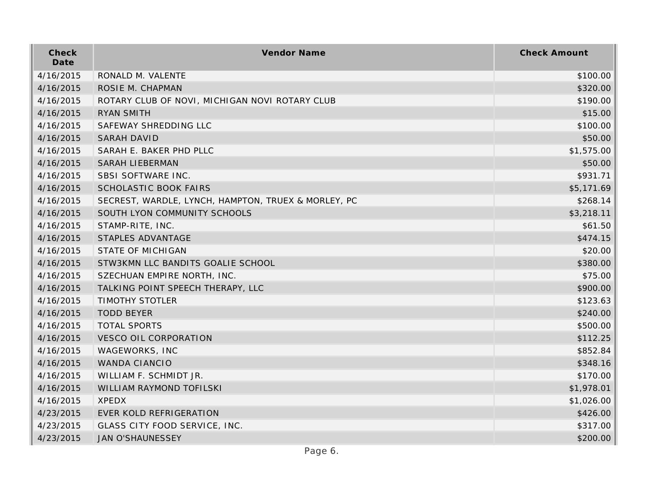| Check<br>Date | Vendor Name                                         | <b>Check Amount</b> |
|---------------|-----------------------------------------------------|---------------------|
| 4/16/2015     | RONALD M. VALENTE                                   | \$100.00            |
| 4/16/2015     | ROSIE M. CHAPMAN                                    | \$320.00            |
| 4/16/2015     | ROTARY CLUB OF NOVI, MICHIGAN NOVI ROTARY CLUB      | \$190.00            |
| 4/16/2015     | <b>RYAN SMITH</b>                                   | \$15.00             |
| 4/16/2015     | SAFEWAY SHREDDING LLC                               | \$100.00            |
| 4/16/2015     | <b>SARAH DAVID</b>                                  | \$50.00             |
| 4/16/2015     | SARAH E. BAKER PHD PLLC                             | \$1,575.00          |
| 4/16/2015     | <b>SARAH LIEBERMAN</b>                              | \$50.00             |
| 4/16/2015     | SBSI SOFTWARE INC.                                  | \$931.71            |
| 4/16/2015     | <b>SCHOLASTIC BOOK FAIRS</b>                        | \$5,171.69          |
| 4/16/2015     | SECREST, WARDLE, LYNCH, HAMPTON, TRUEX & MORLEY, PC | \$268.14            |
| 4/16/2015     | SOUTH LYON COMMUNITY SCHOOLS                        | \$3,218.11          |
| 4/16/2015     | STAMP-RITE, INC.                                    | \$61.50             |
| 4/16/2015     | STAPLES ADVANTAGE                                   | \$474.15            |
| 4/16/2015     | <b>STATE OF MICHIGAN</b>                            | \$20.00             |
| 4/16/2015     | STW3KMN LLC BANDITS GOALIE SCHOOL                   | \$380.00            |
| 4/16/2015     | SZECHUAN EMPIRE NORTH, INC.                         | \$75.00             |
| 4/16/2015     | TALKING POINT SPEECH THERAPY, LLC                   | \$900.00            |
| 4/16/2015     | <b>TIMOTHY STOTLER</b>                              | \$123.63            |
| 4/16/2015     | <b>TODD BEYER</b>                                   | \$240.00            |
| 4/16/2015     | <b>TOTAL SPORTS</b>                                 | \$500.00            |
| 4/16/2015     | <b>VESCO OIL CORPORATION</b>                        | \$112.25            |
| 4/16/2015     | WAGEWORKS, INC                                      | \$852.84            |
| 4/16/2015     | WANDA CIANCIO                                       | \$348.16            |
| 4/16/2015     | WILLIAM F. SCHMIDT JR.                              | \$170.00            |
| 4/16/2015     | WILLIAM RAYMOND TOFILSKI                            | \$1,978.01          |
| 4/16/2015     | <b>XPEDX</b>                                        | \$1,026.00          |
| 4/23/2015     | EVER KOLD REFRIGERATION                             | \$426.00            |
| 4/23/2015     | GLASS CITY FOOD SERVICE, INC.                       | \$317.00            |
| 4/23/2015     | <b>JAN O'SHAUNESSEY</b>                             | \$200.00            |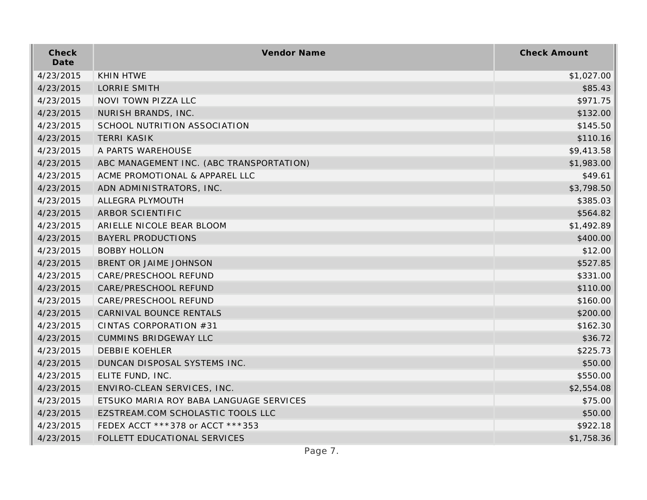| Check<br>Date | Vendor Name                              | <b>Check Amount</b> |
|---------------|------------------------------------------|---------------------|
| 4/23/2015     | <b>KHIN HTWE</b>                         | \$1,027.00          |
| 4/23/2015     | <b>LORRIE SMITH</b>                      | \$85.43             |
| 4/23/2015     | NOVI TOWN PIZZA LLC                      | \$971.75            |
| 4/23/2015     | NURISH BRANDS, INC.                      | \$132.00            |
| 4/23/2015     | SCHOOL NUTRITION ASSOCIATION             | \$145.50            |
| 4/23/2015     | <b>TERRI KASIK</b>                       | \$110.16            |
| 4/23/2015     | A PARTS WAREHOUSE                        | \$9,413.58          |
| 4/23/2015     | ABC MANAGEMENT INC. (ABC TRANSPORTATION) | \$1,983.00          |
| 4/23/2015     | ACME PROMOTIONAL & APPAREL LLC           | \$49.61             |
| 4/23/2015     | ADN ADMINISTRATORS, INC.                 | \$3,798.50          |
| 4/23/2015     | ALLEGRA PLYMOUTH                         | \$385.03            |
| 4/23/2015     | ARBOR SCIENTIFIC                         | \$564.82            |
| 4/23/2015     | ARIELLE NICOLE BEAR BLOOM                | \$1,492.89          |
| 4/23/2015     | <b>BAYERL PRODUCTIONS</b>                | \$400.00            |
| 4/23/2015     | <b>BOBBY HOLLON</b>                      | \$12.00             |
| 4/23/2015     | BRENT OR JAIME JOHNSON                   | \$527.85            |
| 4/23/2015     | CARE/PRESCHOOL REFUND                    | \$331.00            |
| 4/23/2015     | CARE/PRESCHOOL REFUND                    | \$110.00            |
| 4/23/2015     | CARE/PRESCHOOL REFUND                    | \$160.00            |
| 4/23/2015     | CARNIVAL BOUNCE RENTALS                  | \$200.00            |
| 4/23/2015     | CINTAS CORPORATION #31                   | \$162.30            |
| 4/23/2015     | <b>CUMMINS BRIDGEWAY LLC</b>             | \$36.72             |
| 4/23/2015     | <b>DEBBIE KOEHLER</b>                    | \$225.73            |
| 4/23/2015     | DUNCAN DISPOSAL SYSTEMS INC.             | \$50.00             |
| 4/23/2015     | ELITE FUND, INC.                         | \$550.00            |
| 4/23/2015     | ENVIRO-CLEAN SERVICES, INC.              | \$2,554.08          |
| 4/23/2015     | ETSUKO MARIA ROY BABA LANGUAGE SERVICES  | \$75.00             |
| 4/23/2015     | EZSTREAM.COM SCHOLASTIC TOOLS LLC        | \$50.00             |
| 4/23/2015     | FEDEX ACCT ***378 or ACCT ***353         | \$922.18            |
| 4/23/2015     | FOLLETT EDUCATIONAL SERVICES             | \$1,758.36          |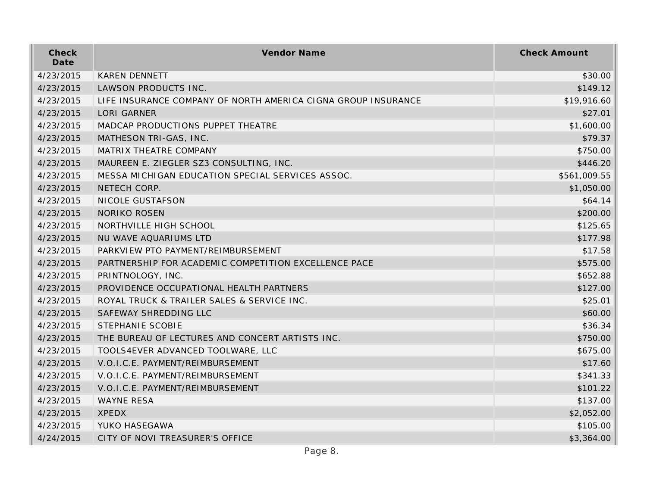| Check<br>Date | Vendor Name                                                   | <b>Check Amount</b> |
|---------------|---------------------------------------------------------------|---------------------|
| 4/23/2015     | <b>KAREN DENNETT</b>                                          | \$30.00             |
| 4/23/2015     | LAWSON PRODUCTS INC.                                          | \$149.12            |
| 4/23/2015     | LIFE INSURANCE COMPANY OF NORTH AMERICA CIGNA GROUP INSURANCE | \$19,916.60         |
| 4/23/2015     | <b>LORI GARNER</b>                                            | \$27.01             |
| 4/23/2015     | MADCAP PRODUCTIONS PUPPET THEATRE                             | \$1,600.00          |
| 4/23/2015     | MATHESON TRI-GAS, INC.                                        | \$79.37             |
| 4/23/2015     | MATRIX THEATRE COMPANY                                        | \$750.00            |
| 4/23/2015     | MAUREEN E. ZIEGLER SZ3 CONSULTING, INC.                       | \$446.20            |
| 4/23/2015     | MESSA MICHIGAN EDUCATION SPECIAL SERVICES ASSOC.              | \$561,009.55        |
| 4/23/2015     | NETECH CORP.                                                  | \$1,050.00          |
| 4/23/2015     | NICOLE GUSTAFSON                                              | \$64.14             |
| 4/23/2015     | <b>NORIKO ROSEN</b>                                           | \$200.00            |
| 4/23/2015     | NORTHVILLE HIGH SCHOOL                                        | \$125.65            |
| 4/23/2015     | NU WAVE AQUARIUMS LTD                                         | \$177.98            |
| 4/23/2015     | PARKVIEW PTO PAYMENT/REIMBURSEMENT                            | \$17.58             |
| 4/23/2015     | PARTNERSHIP FOR ACADEMIC COMPETITION EXCELLENCE PACE          | \$575.00            |
| 4/23/2015     | PRINTNOLOGY, INC.                                             | \$652.88            |
| 4/23/2015     | PROVIDENCE OCCUPATIONAL HEALTH PARTNERS                       | \$127.00            |
| 4/23/2015     | ROYAL TRUCK & TRAILER SALES & SERVICE INC.                    | \$25.01             |
| 4/23/2015     | SAFEWAY SHREDDING LLC                                         | \$60.00             |
| 4/23/2015     | STEPHANIE SCOBIE                                              | \$36.34             |
| 4/23/2015     | THE BUREAU OF LECTURES AND CONCERT ARTISTS INC.               | \$750.00            |
| 4/23/2015     | TOOLS4EVER ADVANCED TOOLWARE, LLC                             | \$675.00            |
| 4/23/2015     | V.O.I.C.E. PAYMENT/REIMBURSEMENT                              | \$17.60             |
| 4/23/2015     | V.O.I.C.E. PAYMENT/REIMBURSEMENT                              | \$341.33            |
| 4/23/2015     | V.O.I.C.E. PAYMENT/REIMBURSEMENT                              | \$101.22            |
| 4/23/2015     | <b>WAYNE RESA</b>                                             | \$137.00            |
| 4/23/2015     | <b>XPEDX</b>                                                  | \$2,052.00          |
| 4/23/2015     | YUKO HASEGAWA                                                 | \$105.00            |
| 4/24/2015     | CITY OF NOVI TREASURER'S OFFICE                               | \$3,364.00          |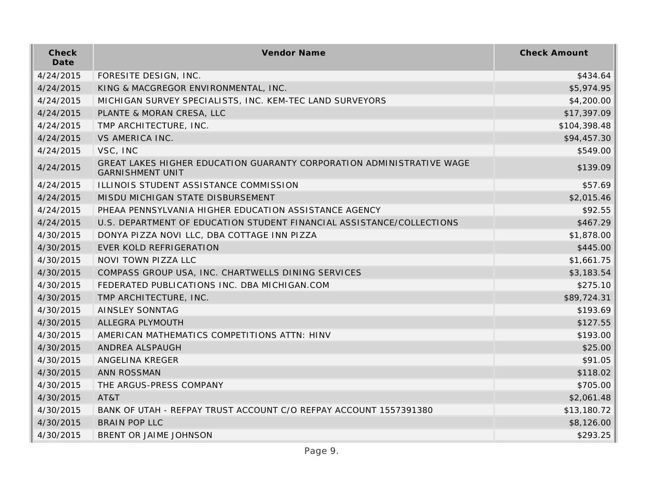| Check<br>Date | Vendor Name                                                                                      | <b>Check Amount</b> |
|---------------|--------------------------------------------------------------------------------------------------|---------------------|
| 4/24/2015     | FORESITE DESIGN, INC.                                                                            | \$434.64            |
| 4/24/2015     | KING & MACGREGOR ENVIRONMENTAL, INC.                                                             | \$5,974.95          |
| 4/24/2015     | MICHIGAN SURVEY SPECIALISTS, INC. KEM-TEC LAND SURVEYORS                                         | \$4,200.00          |
| 4/24/2015     | PLANTE & MORAN CRESA, LLC                                                                        | \$17,397.09         |
| 4/24/2015     | TMP ARCHITECTURE, INC.                                                                           | \$104,398.48        |
| 4/24/2015     | <b>VS AMERICA INC.</b>                                                                           | \$94,457.30         |
| 4/24/2015     | VSC, INC                                                                                         | \$549.00            |
| 4/24/2015     | GREAT LAKES HIGHER EDUCATION GUARANTY CORPORATION ADMINISTRATIVE WAGE<br><b>GARNISHMENT UNIT</b> | \$139.09            |
| 4/24/2015     | ILLINOIS STUDENT ASSISTANCE COMMISSION                                                           | \$57.69             |
| 4/24/2015     | MISDU MICHIGAN STATE DISBURSEMENT                                                                | \$2,015.46          |
| 4/24/2015     | PHEAA PENNSYLVANIA HIGHER EDUCATION ASSISTANCE AGENCY                                            | \$92.55             |
| 4/24/2015     | U.S. DEPARTMENT OF EDUCATION STUDENT FINANCIAL ASSISTANCE/COLLECTIONS                            | \$467.29            |
| 4/30/2015     | DONYA PIZZA NOVI LLC, DBA COTTAGE INN PIZZA                                                      | \$1,878.00          |
| 4/30/2015     | EVER KOLD REFRIGERATION                                                                          | \$445.00            |
| 4/30/2015     | NOVI TOWN PIZZA LLC                                                                              | \$1,661.75          |
| 4/30/2015     | COMPASS GROUP USA, INC. CHARTWELLS DINING SERVICES                                               | \$3,183.54          |
| 4/30/2015     | FEDERATED PUBLICATIONS INC. DBA MICHIGAN.COM                                                     | \$275.10            |
| 4/30/2015     | TMP ARCHITECTURE, INC.                                                                           | \$89,724.31         |
| 4/30/2015     | <b>AINSLEY SONNTAG</b>                                                                           | \$193.69            |
| 4/30/2015     | ALLEGRA PLYMOUTH                                                                                 | \$127.55            |
| 4/30/2015     | AMERICAN MATHEMATICS COMPETITIONS ATTN: HINV                                                     | \$193.00            |
| 4/30/2015     | ANDREA ALSPAUGH                                                                                  | \$25.00             |
| 4/30/2015     | ANGELINA KREGER                                                                                  | \$91.05             |
| 4/30/2015     | ANN ROSSMAN                                                                                      | \$118.02            |
| 4/30/2015     | THE ARGUS-PRESS COMPANY                                                                          | \$705.00            |
| 4/30/2015     | AT&T                                                                                             | \$2,061.48          |
| 4/30/2015     | BANK OF UTAH - REFPAY TRUST ACCOUNT C/O REFPAY ACCOUNT 1557391380                                | \$13,180.72         |
| 4/30/2015     | <b>BRAIN POP LLC</b>                                                                             | \$8,126.00          |
| 4/30/2015     | BRENT OR JAIME JOHNSON                                                                           | \$293.25            |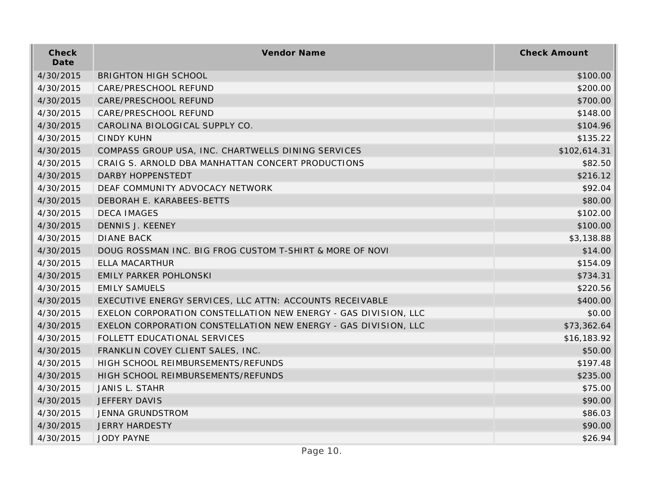| Check<br>Date | Vendor Name                                                     | <b>Check Amount</b> |
|---------------|-----------------------------------------------------------------|---------------------|
| 4/30/2015     | <b>BRIGHTON HIGH SCHOOL</b>                                     | \$100.00            |
| 4/30/2015     | CARE/PRESCHOOL REFUND                                           | \$200.00            |
| 4/30/2015     | CARE/PRESCHOOL REFUND                                           | \$700.00            |
| 4/30/2015     | CARE/PRESCHOOL REFUND                                           | \$148.00            |
| 4/30/2015     | CAROLINA BIOLOGICAL SUPPLY CO.                                  | \$104.96            |
| 4/30/2015     | <b>CINDY KUHN</b>                                               | \$135.22            |
| 4/30/2015     | COMPASS GROUP USA, INC. CHARTWELLS DINING SERVICES              | \$102,614.31        |
| 4/30/2015     | CRAIG S. ARNOLD DBA MANHATTAN CONCERT PRODUCTIONS               | \$82.50             |
| 4/30/2015     | <b>DARBY HOPPENSTEDT</b>                                        | \$216.12            |
| 4/30/2015     | DEAF COMMUNITY ADVOCACY NETWORK                                 | \$92.04             |
| 4/30/2015     | DEBORAH E. KARABEES-BETTS                                       | \$80.00             |
| 4/30/2015     | <b>DECA IMAGES</b>                                              | \$102.00            |
| 4/30/2015     | DENNIS J. KEENEY                                                | \$100.00            |
| 4/30/2015     | <b>DIANE BACK</b>                                               | \$3,138.88          |
| 4/30/2015     | DOUG ROSSMAN INC. BIG FROG CUSTOM T-SHIRT & MORE OF NOVI        | \$14.00             |
| 4/30/2015     | <b>ELLA MACARTHUR</b>                                           | \$154.09            |
| 4/30/2015     | <b>EMILY PARKER POHLONSKI</b>                                   | \$734.31            |
| 4/30/2015     | <b>EMILY SAMUELS</b>                                            | \$220.56            |
| 4/30/2015     | EXECUTIVE ENERGY SERVICES, LLC ATTN: ACCOUNTS RECEIVABLE        | \$400.00            |
| 4/30/2015     | EXELON CORPORATION CONSTELLATION NEW ENERGY - GAS DIVISION, LLC | \$0.00              |
| 4/30/2015     | EXELON CORPORATION CONSTELLATION NEW ENERGY - GAS DIVISION, LLC | \$73,362.64         |
| 4/30/2015     | FOLLETT EDUCATIONAL SERVICES                                    | \$16,183.92         |
| 4/30/2015     | FRANKLIN COVEY CLIENT SALES, INC.                               | \$50.00             |
| 4/30/2015     | HIGH SCHOOL REIMBURSEMENTS/REFUNDS                              | \$197.48            |
| 4/30/2015     | HIGH SCHOOL REIMBURSEMENTS/REFUNDS                              | \$235.00            |
| 4/30/2015     | JANIS L. STAHR                                                  | \$75.00             |
| 4/30/2015     | JEFFERY DAVIS                                                   | \$90.00             |
| 4/30/2015     | JENNA GRUNDSTROM                                                | \$86.03             |
| 4/30/2015     | <b>JERRY HARDESTY</b>                                           | \$90.00             |
| 4/30/2015     | <b>JODY PAYNE</b>                                               | \$26.94             |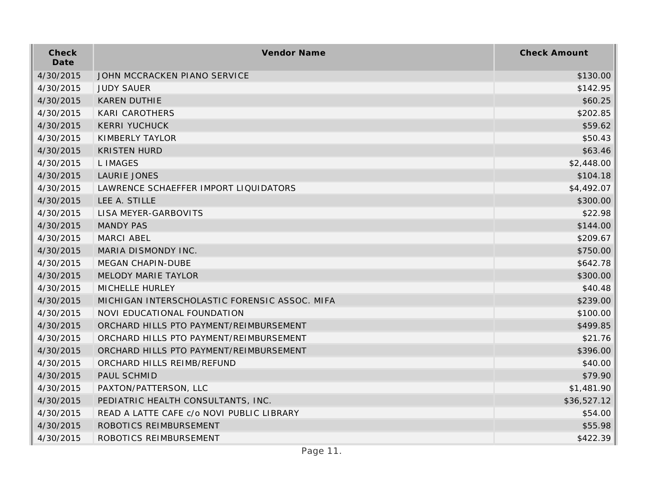| Check<br>Date | Vendor Name                                   | <b>Check Amount</b> |
|---------------|-----------------------------------------------|---------------------|
| 4/30/2015     | JOHN MCCRACKEN PIANO SERVICE                  | \$130.00            |
| 4/30/2015     | <b>JUDY SAUER</b>                             | \$142.95            |
| 4/30/2015     | <b>KAREN DUTHIE</b>                           | \$60.25             |
| 4/30/2015     | <b>KARI CAROTHERS</b>                         | \$202.85            |
| 4/30/2015     | <b>KERRI YUCHUCK</b>                          | \$59.62             |
| 4/30/2015     | KIMBERLY TAYLOR                               | \$50.43             |
| 4/30/2015     | <b>KRISTEN HURD</b>                           | \$63.46             |
| 4/30/2015     | <b>LIMAGES</b>                                | \$2,448.00          |
| 4/30/2015     | <b>LAURIE JONES</b>                           | \$104.18            |
| 4/30/2015     | LAWRENCE SCHAEFFER IMPORT LIQUIDATORS         | \$4,492.07          |
| 4/30/2015     | LEE A. STILLE                                 | \$300.00            |
| 4/30/2015     | LISA MEYER-GARBOVITS                          | \$22.98             |
| 4/30/2015     | <b>MANDY PAS</b>                              | \$144.00            |
| 4/30/2015     | MARCI ABEL                                    | \$209.67            |
| 4/30/2015     | MARIA DISMONDY INC.                           | \$750.00            |
| 4/30/2015     | <b>MEGAN CHAPIN-DUBE</b>                      | \$642.78            |
| 4/30/2015     | <b>MELODY MARIE TAYLOR</b>                    | \$300.00            |
| 4/30/2015     | MICHELLE HURLEY                               | \$40.48             |
| 4/30/2015     | MICHIGAN INTERSCHOLASTIC FORENSIC ASSOC. MIFA | \$239.00            |
| 4/30/2015     | NOVI EDUCATIONAL FOUNDATION                   | \$100.00            |
| 4/30/2015     | ORCHARD HILLS PTO PAYMENT/REIMBURSEMENT       | \$499.85            |
| 4/30/2015     | ORCHARD HILLS PTO PAYMENT/REIMBURSEMENT       | \$21.76             |
| 4/30/2015     | ORCHARD HILLS PTO PAYMENT/REIMBURSEMENT       | \$396.00            |
| 4/30/2015     | ORCHARD HILLS REIMB/REFUND                    | \$40.00             |
| 4/30/2015     | PAUL SCHMID                                   | \$79.90             |
| 4/30/2015     | PAXTON/PATTERSON, LLC                         | \$1,481.90          |
| 4/30/2015     | PEDIATRIC HEALTH CONSULTANTS, INC.            | \$36,527.12         |
| 4/30/2015     | READ A LATTE CAFE c/o NOVI PUBLIC LIBRARY     | \$54.00             |
| 4/30/2015     | ROBOTICS REIMBURSEMENT                        | \$55.98             |
| 4/30/2015     | ROBOTICS REIMBURSEMENT                        | \$422.39            |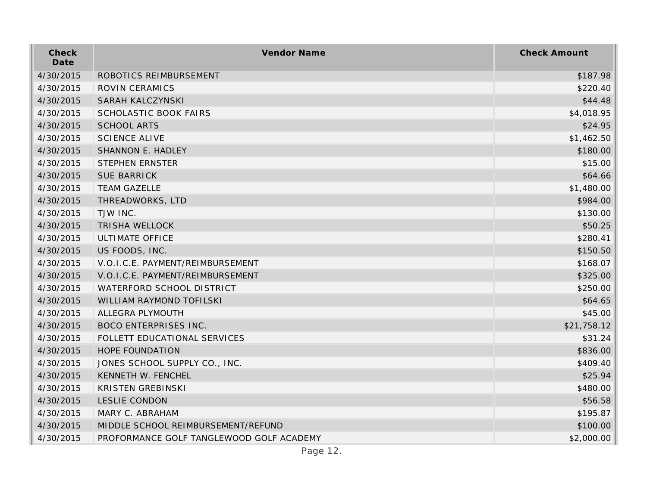| Check<br>Date | Vendor Name                              | <b>Check Amount</b> |
|---------------|------------------------------------------|---------------------|
| 4/30/2015     | ROBOTICS REIMBURSEMENT                   | \$187.98            |
| 4/30/2015     | ROVIN CERAMICS                           | \$220.40            |
| 4/30/2015     | SARAH KALCZYNSKI                         | \$44.48             |
| 4/30/2015     | <b>SCHOLASTIC BOOK FAIRS</b>             | \$4,018.95          |
| 4/30/2015     | <b>SCHOOL ARTS</b>                       | \$24.95             |
| 4/30/2015     | <b>SCIENCE ALIVE</b>                     | \$1,462.50          |
| 4/30/2015     | SHANNON E. HADLEY                        | \$180.00            |
| 4/30/2015     | <b>STEPHEN ERNSTER</b>                   | \$15.00             |
| 4/30/2015     | <b>SUE BARRICK</b>                       | \$64.66             |
| 4/30/2015     | <b>TEAM GAZELLE</b>                      | \$1,480.00          |
| 4/30/2015     | THREADWORKS, LTD                         | \$984.00            |
| 4/30/2015     | TJW INC.                                 | \$130.00            |
| 4/30/2015     | <b>TRISHA WELLOCK</b>                    | \$50.25             |
| 4/30/2015     | <b>ULTIMATE OFFICE</b>                   | \$280.41            |
| 4/30/2015     | US FOODS, INC.                           | \$150.50            |
| 4/30/2015     | V.O.I.C.E. PAYMENT/REIMBURSEMENT         | \$168.07            |
| 4/30/2015     | V.O.I.C.E. PAYMENT/REIMBURSEMENT         | \$325.00            |
| 4/30/2015     | WATERFORD SCHOOL DISTRICT                | \$250.00            |
| 4/30/2015     | WILLIAM RAYMOND TOFILSKI                 | \$64.65             |
| 4/30/2015     | ALLEGRA PLYMOUTH                         | \$45.00             |
| 4/30/2015     | <b>BOCO ENTERPRISES INC.</b>             | \$21,758.12         |
| 4/30/2015     | FOLLETT EDUCATIONAL SERVICES             | \$31.24             |
| 4/30/2015     | HOPE FOUNDATION                          | \$836.00            |
| 4/30/2015     | JONES SCHOOL SUPPLY CO., INC.            | \$409.40            |
| 4/30/2015     | KENNETH W. FENCHEL                       | \$25.94             |
| 4/30/2015     | <b>KRISTEN GREBINSKI</b>                 | \$480.00            |
| 4/30/2015     | <b>LESLIE CONDON</b>                     | \$56.58             |
| 4/30/2015     | MARY C. ABRAHAM                          | \$195.87            |
| 4/30/2015     | MIDDLE SCHOOL REIMBURSEMENT/REFUND       | \$100.00            |
| 4/30/2015     | PROFORMANCE GOLF TANGLEWOOD GOLF ACADEMY | \$2,000.00          |